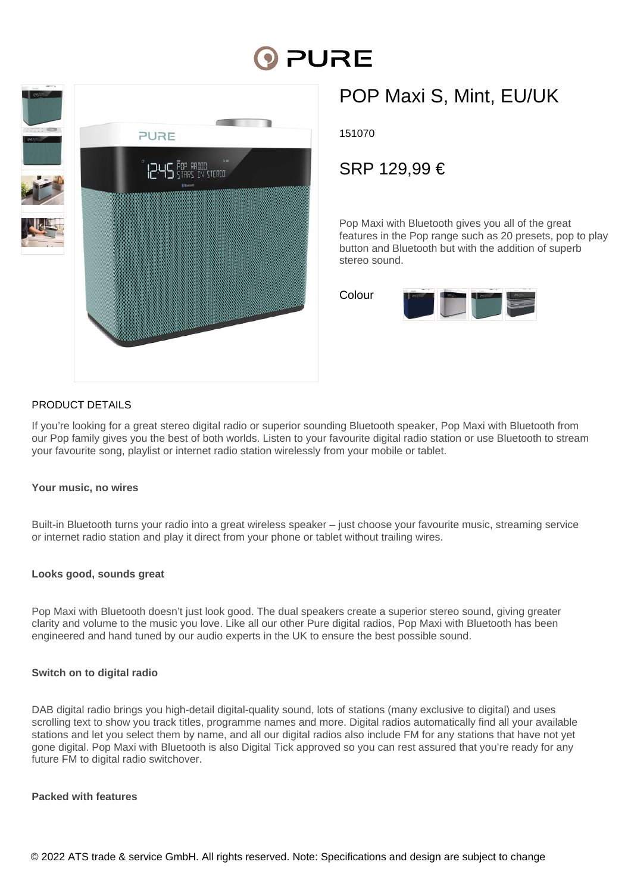# **DI PURE**



## POP Maxi S, Mint, EU/UK

151070

### SRP 129,99 €

Pop Maxi with Bluetooth gives you all of the great features in the Pop range such as 20 presets, pop to play button and Bluetooth but with the addition of superb stereo sound.



#### PRODUCT DETAILS

If you're looking for a great stereo digital radio or superior sounding Bluetooth speaker, Pop Maxi with Bluetooth from our Pop family gives you the best of both worlds. Listen to your favourite digital radio station or use Bluetooth to stream your favourite song, playlist or internet radio station wirelessly from your mobile or tablet.

#### **Your music, no wires**

Built-in Bluetooth turns your radio into a great wireless speaker – just choose your favourite music, streaming service or internet radio station and play it direct from your phone or tablet without trailing wires.

#### **Looks good, sounds great**

Pop Maxi with Bluetooth doesn't just look good. The dual speakers create a superior stereo sound, giving greater clarity and volume to the music you love. Like all our other Pure digital radios, Pop Maxi with Bluetooth has been engineered and hand tuned by our audio experts in the UK to ensure the best possible sound.

#### **Switch on to digital radio**

DAB digital radio brings you high-detail digital-quality sound, lots of stations (many exclusive to digital) and uses scrolling text to show you track titles, programme names and more. Digital radios automatically find all your available stations and let you select them by name, and all our digital radios also include FM for any stations that have not yet gone digital. Pop Maxi with Bluetooth is also Digital Tick approved so you can rest assured that you're ready for any future FM to digital radio switchover.

#### **Packed with features**